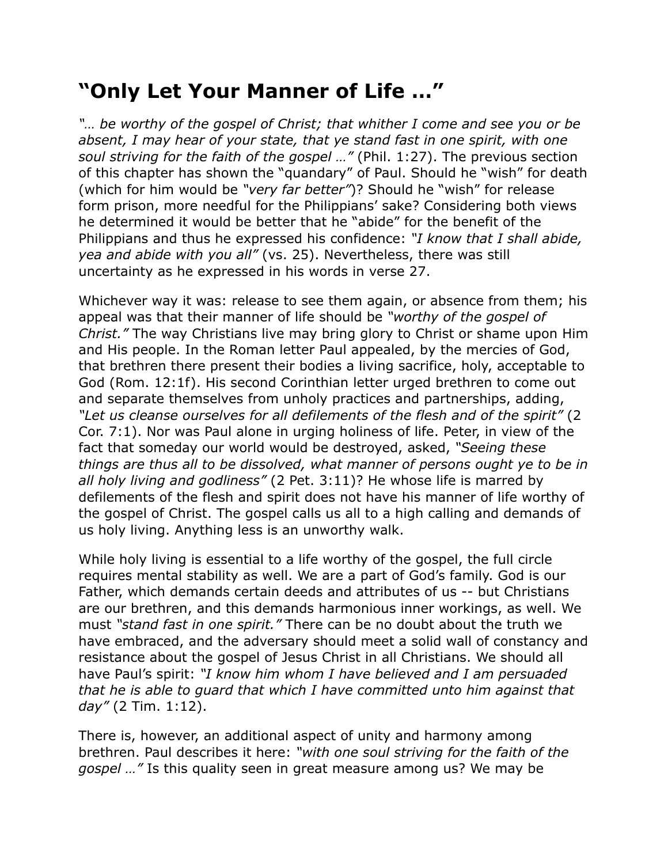## **"Only Let Your Manner of Life …"**

*"… be worthy of the gospel of Christ; that whither I come and see you or be absent, I may hear of your state, that ye stand fast in one spirit, with one soul striving for the faith of the gospel …"* (Phil. 1:27). The previous section of this chapter has shown the "quandary" of Paul. Should he "wish" for death (which for him would be *"very far better"*)? Should he "wish" for release form prison, more needful for the Philippians' sake? Considering both views he determined it would be better that he "abide" for the benefit of the Philippians and thus he expressed his confidence: *"I know that I shall abide, yea and abide with you all"* (vs. 25). Nevertheless, there was still uncertainty as he expressed in his words in verse 27.

Whichever way it was: release to see them again, or absence from them; his appeal was that their manner of life should be *"worthy of the gospel of Christ."* The way Christians live may bring glory to Christ or shame upon Him and His people. In the Roman letter Paul appealed, by the mercies of God, that brethren there present their bodies a living sacrifice, holy, acceptable to God (Rom. 12:1f). His second Corinthian letter urged brethren to come out and separate themselves from unholy practices and partnerships, adding, *"Let us cleanse ourselves for all defilements of the flesh and of the spirit"* (2 Cor. 7:1). Nor was Paul alone in urging holiness of life. Peter, in view of the fact that someday our world would be destroyed, asked, *"Seeing these things are thus all to be dissolved, what manner of persons ought ye to be in all holy living and godliness"* (2 Pet. 3:11)? He whose life is marred by defilements of the flesh and spirit does not have his manner of life worthy of the gospel of Christ. The gospel calls us all to a high calling and demands of us holy living. Anything less is an unworthy walk.

While holy living is essential to a life worthy of the gospel, the full circle requires mental stability as well. We are a part of God's family. God is our Father, which demands certain deeds and attributes of us -- but Christians are our brethren, and this demands harmonious inner workings, as well. We must *"stand fast in one spirit."* There can be no doubt about the truth we have embraced, and the adversary should meet a solid wall of constancy and resistance about the gospel of Jesus Christ in all Christians. We should all have Paul's spirit: *"I know him whom I have believed and I am persuaded that he is able to guard that which I have committed unto him against that day"* (2 Tim. 1:12).

There is, however, an additional aspect of unity and harmony among brethren. Paul describes it here: *"with one soul striving for the faith of the gospel …"* Is this quality seen in great measure among us? We may be